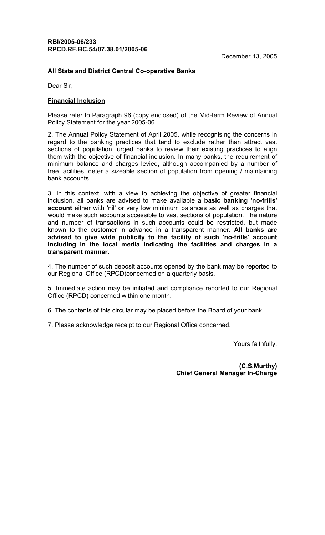## RBI/2005-06/233 RPCD.RF.BC.54/07.38.01/2005-06

## All State and District Central Co-operative Banks

Dear Sir,

## Financial Inclusion

Please refer to Paragraph 96 (copy enclosed) of the Mid-term Review of Annual Policy Statement for the year 2005-06.

2. The Annual Policy Statement of April 2005, while recognising the concerns in regard to the banking practices that tend to exclude rather than attract vast sections of population, urged banks to review their existing practices to align them with the objective of financial inclusion. In many banks, the requirement of minimum balance and charges levied, although accompanied by a number of free facilities, deter a sizeable section of population from opening / maintaining bank accounts.

3. In this context, with a view to achieving the objective of greater financial inclusion, all banks are advised to make available a basic banking 'no-frills' account either with 'nil' or very low minimum balances as well as charges that would make such accounts accessible to vast sections of population. The nature and number of transactions in such accounts could be restricted, but made known to the customer in advance in a transparent manner. All banks are advised to give wide publicity to the facility of such 'no-frills' account including in the local media indicating the facilities and charges in a transparent manner.

4. The number of such deposit accounts opened by the bank may be reported to our Regional Office (RPCD)concerned on a quarterly basis.

5. Immediate action may be initiated and compliance reported to our Regional Office (RPCD) concerned within one month.

6. The contents of this circular may be placed before the Board of your bank.

7. Please acknowledge receipt to our Regional Office concerned.

Yours faithfully,

(C.S.Murthy) Chief General Manager In-Charge